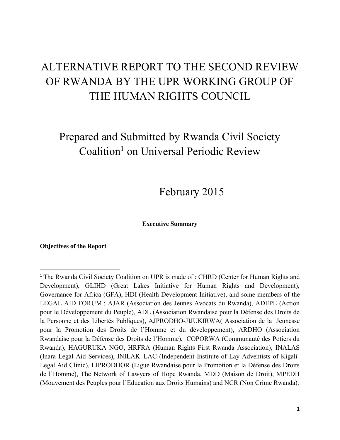# ALTERNATIVE REPORT TO THE SECOND REVIEW OF RWANDA BY THE UPR WORKING GROUP OF THE HUMAN RIGHTS COUNCIL

Prepared and Submitted by Rwanda Civil Society Coalition<sup>1</sup> on Universal Periodic Review

February 2015

**Executive Summary**

**Objectives of the Report**

<sup>&</sup>lt;sup>1</sup> The Rwanda Civil Society Coalition on UPR is made of : CHRD (Center for Human Rights and Development), GLIHD (Great Lakes Initiative for Human Rights and Development), Governance for Africa (GFA), HDI (Health Development Initiative), and some members of the LEGAL AID FORUM : AJAR (Association des Jeunes Avocats du Rwanda), ADEPE (Action pour le Développement du Peuple), ADL (Association Rwandaise pour la Défense des Droits de la Personne et des Libertés Publiques), AJPRODHO-JIJUKIRWA( Association de la Jeunesse pour la Promotion des Droits de l'Homme et du développement), ARDHO (Association Rwandaise pour la Défense des Droits de l'Homme), COPORWA (Communauté des Potiers du Rwanda), HAGURUKA NGO, HRFRA (Human Rights First Rwanda Association), INALAS (Inara Legal Aid Services), INILAK–LAC (Independent Institute of Lay Adventists of Kigali-Legal Aid Clinic), LIPRODHOR (Ligue Rwandaise pour la Promotion et la Défense des Droits de l'Homme), The Network of Lawyers of Hope Rwanda, MDD (Maison de Droit), MPEDH (Mouvement des Peuples pour l'Education aux Droits Humains) and NCR (Non Crime Rwanda).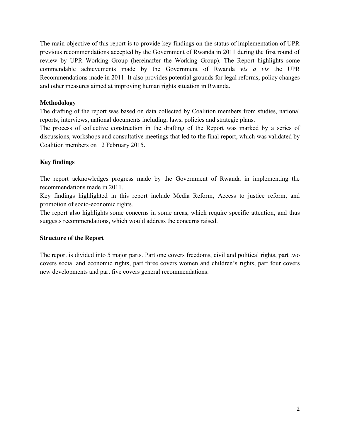The main objective of this report is to provide key findings on the status of implementation of UPR previous recommendations accepted by the Government of Rwanda in 2011 during the first round of review by UPR Working Group (hereinafter the Working Group). The Report highlights some commendable achievements made by the Government of Rwanda *vis a vis* the UPR Recommendations made in 2011. It also provides potential grounds for legal reforms, policy changes and other measures aimed at improving human rights situation in Rwanda.

#### **Methodology**

The drafting of the report was based on data collected by Coalition members from studies, national reports, interviews, national documents including; laws, policies and strategic plans.

The process of collective construction in the drafting of the Report was marked by a series of discussions, workshops and consultative meetings that led to the final report, which was validated by Coalition members on 12 February 2015.

#### **Key findings**

The report acknowledges progress made by the Government of Rwanda in implementing the recommendations made in 2011.

Key findings highlighted in this report include Media Reform, Access to justice reform, and promotion of socio-economic rights.

The report also highlights some concerns in some areas, which require specific attention, and thus suggests recommendations, which would address the concerns raised.

#### **Structure of the Report**

The report is divided into 5 major parts. Part one covers freedoms, civil and political rights, part two covers social and economic rights, part three covers women and children's rights, part four covers new developments and part five covers general recommendations.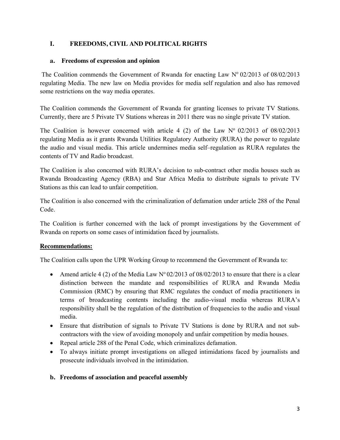## **I. FREEDOMS, CIVIL AND POLITICAL RIGHTS**

#### **a. Freedoms of expression and opinion**

The Coalition commends the Government of Rwanda for enacting Law  $N^{\circ}$  02/2013 of 08/02/2013 regulating Media. The new law on Media provides for media self regulation and also has removed some restrictions on the way media operates.

The Coalition commends the Government of Rwanda for granting licenses to private TV Stations. Currently, there are 5 Private TV Stations whereas in 2011 there was no single private TV station.

The Coalition is however concerned with article 4 (2) of the Law  $N^{\circ}$  02/2013 of 08/02/2013 regulating Media as it grants Rwanda Utilities Regulatory Authority (RURA) the power to regulate the audio and visual media. This article undermines media self–regulation as RURA regulates the contents of TV and Radio broadcast.

The Coalition is also concerned with RURA's decision to sub-contract other media houses such as Rwanda Broadcasting Agency (RBA) and Star Africa Media to distribute signals to private TV Stations as this can lead to unfair competition.

The Coalition is also concerned with the criminalization of defamation under article 288 of the Penal Code.

The Coalition is further concerned with the lack of prompt investigations by the Government of Rwanda on reports on some cases of intimidation faced by journalists.

#### **Recommendations:**

The Coalition calls upon the UPR Working Group to recommend the Government of Rwanda to:

- Amend article 4 (2) of the Media Law  $N^{\circ}$  02/2013 of 08/02/2013 to ensure that there is a clear distinction between the mandate and responsibilities of RURA and Rwanda Media Commission (RMC) by ensuring that RMC regulates the conduct of media practitioners in terms of broadcasting contents including the audio-visual media whereas RURA's responsibility shall be the regulation of the distribution of frequencies to the audio and visual media.
- Ensure that distribution of signals to Private TV Stations is done by RURA and not subcontractors with the view of avoiding monopoly and unfair competition by media houses.
- Repeal article 288 of the Penal Code, which criminalizes defamation.
- To always initiate prompt investigations on alleged intimidations faced by journalists and prosecute individuals involved in the intimidation.

#### **b. Freedoms of association and peaceful assembly**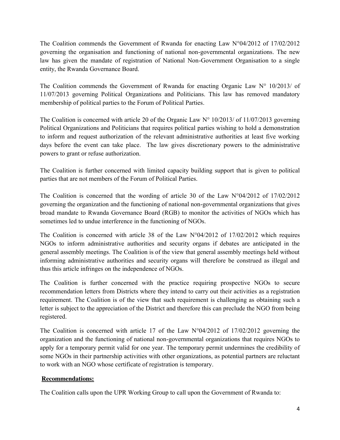The Coalition commends the Government of Rwanda for enacting Law N°04/2012 of 17/02/2012 governing the organisation and functioning of national non-governmental organizations. The new law has given the mandate of registration of National Non-Government Organisation to a single entity, the Rwanda Governance Board.

The Coalition commends the Government of Rwanda for enacting Organic Law N° 10/2013/ of 11/07/2013 governing Political Organizations and Politicians. This law has removed mandatory membership of political parties to the Forum of Political Parties.

The Coalition is concerned with article 20 of the Organic Law  $N^{\circ}$  10/2013/ of 11/07/2013 governing Political Organizations and Politicians that requires political parties wishing to hold a demonstration to inform and request authorization of the relevant administrative authorities at least five working days before the event can take place. The law gives discretionary powers to the administrative powers to grant or refuse authorization.

The Coalition is further concerned with limited capacity building support that is given to political parties that are not members of the Forum of Political Parties.

The Coalition is concerned that the wording of article 30 of the Law  $N^{\circ}04/2012$  of  $17/02/2012$ governing the organization and the functioning of national non-governmental organizations that gives broad mandate to Rwanda Governance Board (RGB) to monitor the activities of NGOs which has sometimes led to undue interference in the functioning of NGOs.

The Coalition is concerned with article 38 of the Law N°04/2012 of 17/02/2012 which requires NGOs to inform administrative authorities and security organs if debates are anticipated in the general assembly meetings. The Coalition is of the view that general assembly meetings held without informing administrative authorities and security organs will therefore be construed as illegal and thus this article infringes on the independence of NGOs.

The Coalition is further concerned with the practice requiring prospective NGOs to secure recommendation letters from Districts where they intend to carry out their activities as a registration requirement. The Coalition is of the view that such requirement is challenging as obtaining such a letter is subject to the appreciation of the District and therefore this can preclude the NGO from being registered.

The Coalition is concerned with article 17 of the Law  $N^{\circ}04/2012$  of 17/02/2012 governing the organization and the functioning of national non-governmental organizations that requires NGOs to apply for a temporary permit valid for one year. The temporary permit undermines the credibility of some NGOs in their partnership activities with other organizations, as potential partners are reluctant to work with an NGO whose certificate of registration is temporary.

## **Recommendations:**

The Coalition calls upon the UPR Working Group to call upon the Government of Rwanda to: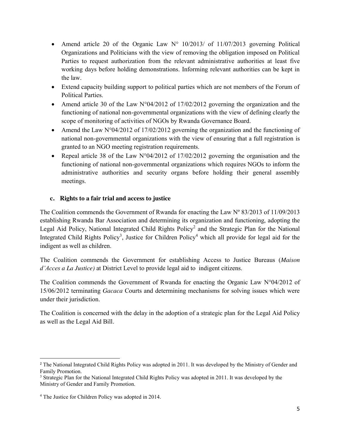- Amend article 20 of the Organic Law  $N^{\circ}$  10/2013/ of 11/07/2013 governing Political Organizations and Politicians with the view of removing the obligation imposed on Political Parties to request authorization from the relevant administrative authorities at least five working days before holding demonstrations. Informing relevant authorities can be kept in the law.
- Extend capacity building support to political parties which are not members of the Forum of Political Parties.
- Amend article 30 of the Law N°04/2012 of 17/02/2012 governing the organization and the functioning of national non-governmental organizations with the view of defining clearly the scope of monitoring of activities of NGOs by Rwanda Governance Board.
- Amend the Law N°04/2012 of 17/02/2012 governing the organization and the functioning of national non-governmental organizations with the view of ensuring that a full registration is granted to an NGO meeting registration requirements.
- Repeal article 38 of the Law  $N^{\circ}04/2012$  of 17/02/2012 governing the organisation and the functioning of national non-governmental organizations which requires NGOs to inform the administrative authorities and security organs before holding their general assembly meetings.

## **c. Rights to a fair trial and access to justice**

The Coalition commends the Government of Rwanda for enacting the Law Nº 83/2013 of 11/09/2013 establishing Rwanda Bar Association and determining its organization and functioning, adopting the Legal Aid Policy, National Integrated Child Rights Policy<sup>2</sup> and the Strategic Plan for the National Integrated Child Rights Policy<sup>3</sup>, Justice for Children Policy<sup>4</sup> which all provide for legal aid for the indigent as well as children.

The Coalition commends the Government for establishing Access to Justice Bureaus (*Maison d'Acces a La Justice)* at District Level to provide legal aid to indigent citizens.

The Coalition commends the Government of Rwanda for enacting the Organic Law N°04/2012 of 15/06/2012 terminating *Gacaca* Courts and determining mechanisms for solving issues which were under their jurisdiction.

The Coalition is concerned with the delay in the adoption of a strategic plan for the Legal Aid Policy as well as the Legal Aid Bill.

<sup>&</sup>lt;sup>2</sup> The National Integrated Child Rights Policy was adopted in 2011. It was developed by the Ministry of Gender and Family Promotion.

<sup>&</sup>lt;sup>3</sup> Strategic Plan for the National Integrated Child Rights Policy was adopted in 2011. It was developed by the Ministry of Gender and Family Promotion.

<sup>4</sup> The Justice for Children Policy was adopted in 2014.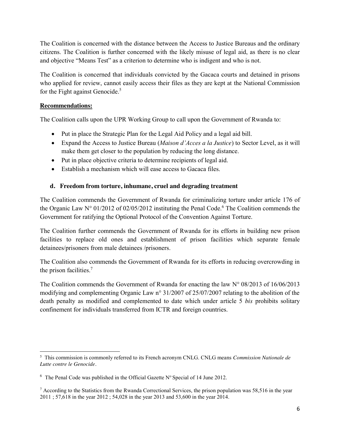The Coalition is concerned with the distance between the Access to Justice Bureaus and the ordinary citizens. The Coalition is further concerned with the likely misuse of legal aid, as there is no clear and objective "Means Test" as a criterion to determine who is indigent and who is not.

The Coalition is concerned that individuals convicted by the Gacaca courts and detained in prisons who applied for review, cannot easily access their files as they are kept at the National Commission for the Fight against Genocide.<sup>5</sup>

## **Recommendations:**

The Coalition calls upon the UPR Working Group to call upon the Government of Rwanda to:

- Put in place the Strategic Plan for the Legal Aid Policy and a legal aid bill.
- x Expand the Access to Justice Bureau (*Maison d'Acces a la Justice*) to Sector Level, as it will make them get closer to the population by reducing the long distance.
- $\bullet$  Put in place objective criteria to determine recipients of legal aid.
- $\bullet$  Establish a mechanism which will ease access to Gacaca files.

## **d. Freedom from torture, inhumane, cruel and degrading treatment**

The Coalition commends the Government of Rwanda for criminalizing torture under article 176 of the Organic Law  $N^{\circ}$  01/2012 of 02/05/2012 instituting the Penal Code.<sup>6</sup> The Coalition commends the Government for ratifying the Optional Protocol of the Convention Against Torture.

The Coalition further commends the Government of Rwanda for its efforts in building new prison facilities to replace old ones and establishment of prison facilities which separate female detainees/prisoners from male detainees /prisoners.

The Coalition also commends the Government of Rwanda for its efforts in reducing overcrowding in the prison facilities.<sup>7</sup>

The Coalition commends the Government of Rwanda for enacting the law N° 08/2013 of 16/06/2013 modifying and complementing Organic Law n° 31/2007 of 25/07/2007 relating to the abolition of the death penalty as modified and complemented to date which under article 5 *bis* prohibits solitary confinement for individuals transferred from ICTR and foreign countries.

 $\overline{a}$ 5 This commission is commonly referred to its French acronym CNLG. CNLG means *Commission Nationale de Lutte contre le Genocide.*

 $6$  The Penal Code was published in the Official Gazette N° Special of 14 June 2012.

<sup>7</sup> According to the Statistics from the Rwanda Correctional Services, the prison population was 58,516 in the year 2011 ; 57,618 in the year 2012 ; 54,028 in the year 2013 and 53,600 in the year 2014.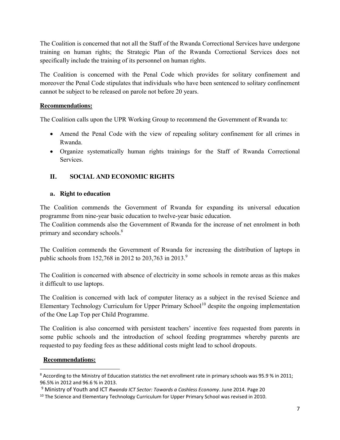The Coalition is concerned that not all the Staff of the Rwanda Correctional Services have undergone training on human rights; the Strategic Plan of the Rwanda Correctional Services does not specifically include the training of its personnel on human rights.

The Coalition is concerned with the Penal Code which provides for solitary confinement and moreover the Penal Code stipulates that individuals who have been sentenced to solitary confinement cannot be subject to be released on parole not before 20 years.

## **Recommendations:**

The Coalition calls upon the UPR Working Group to recommend the Government of Rwanda to:

- Amend the Penal Code with the view of repealing solitary confinement for all crimes in Rwanda.
- Organize systematically human rights trainings for the Staff of Rwanda Correctional Services.

# **II. SOCIAL AND ECONOMIC RIGHTS**

#### **a. Right to education**

The Coalition commends the Government of Rwanda for expanding its universal education programme from nine-year basic education to twelve-year basic education.

The Coalition commends also the Government of Rwanda for the increase of net enrolment in both primary and secondary schools.<sup>8</sup>

The Coalition commends the Government of Rwanda for increasing the distribution of laptops in public schools from 152,768 in 2012 to 203,763 in 2013.<sup>9</sup>

The Coalition is concerned with absence of electricity in some schools in remote areas as this makes it difficult to use laptops.

The Coalition is concerned with lack of computer literacy as a subject in the revised Science and Elementary Technology Curriculum for Upper Primary School<sup>10</sup> despite the ongoing implementation of the One Lap Top per Child Programme.

The Coalition is also concerned with persistent teachers' incentive fees requested from parents in some public schools and the introduction of school feeding programmes whereby parents are requested to pay feeding fees as these additional costs might lead to school dropouts.

## **Recommendations:**

<sup>&</sup>lt;sup>8</sup> According to the Ministry of Education statistics the net enrollment rate in primary schools was 95.9 % in 2011; 96.5% in 2012 and 96.6 % in 2013.

<sup>9</sup> Ministry of Youth and ICT *Rwanda ICT Sector: Towards a Cashless Economy*. June 2014. Page 20

<sup>&</sup>lt;sup>10</sup> The Science and Elementary Technology Curriculum for Upper Primary School was revised in 2010.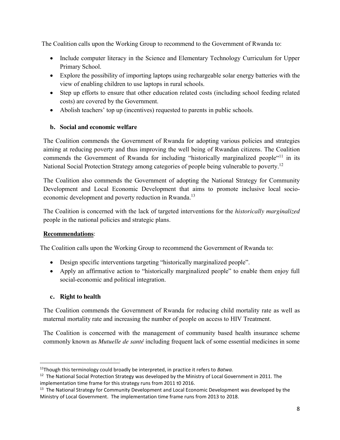The Coalition calls upon the Working Group to recommend to the Government of Rwanda to:

- Include computer literacy in the Science and Elementary Technology Curriculum for Upper Primary School.
- Explore the possibility of importing laptops using rechargeable solar energy batteries with the view of enabling children to use laptops in rural schools.
- Step up efforts to ensure that other education related costs (including school feeding related costs) are covered by the Government.
- Abolish teachers' top up (incentives) requested to parents in public schools.

# **b. Social and economic welfare**

The Coalition commends the Government of Rwanda for adopting various policies and strategies aiming at reducing poverty and thus improving the well being of Rwandan citizens. The Coalition commends the Government of Rwanda for including "historically marginalized people"<sup>11</sup> in its National Social Protection Strategy among categories of people being vulnerable to poverty.<sup>12</sup>

The Coalition also commends the Government of adopting the National Strategy for Community Development and Local Economic Development that aims to promote inclusive local socioeconomic development and poverty reduction in Rwanda.<sup>13</sup>

The Coalition is concerned with the lack of targeted interventions for the *historically marginalized* people in the national policies and strategic plans.

# **Recommendations**:

The Coalition calls upon the Working Group to recommend the Government of Rwanda to:

- Design specific interventions targeting "historically marginalized people".
- Apply an affirmative action to "historically marginalized people" to enable them enjoy full social-economic and political integration.

# **c. Right to health**

The Coalition commends the Government of Rwanda for reducing child mortality rate as well as maternal mortality rate and increasing the number of people on access to HIV Treatment.

The Coalition is concerned with the management of community based health insurance scheme commonly known as *Mutuelle de santé* including frequent lack of some essential medicines in some

 <sup>11</sup>Though this terminology could broadly be interpreted, in practice it refers to *Batwa.* 

<sup>&</sup>lt;sup>12</sup> The National Social Protection Strategy was developed by the Ministry of Local Government in 2011. The implementation time frame for this strategy runs from 2011 t0 2016.

<sup>&</sup>lt;sup>13</sup> The National Strategy for Community Development and Local Economic Development was developed by the Ministry of Local Government. The implementation time frame runs from 2013 to 2018.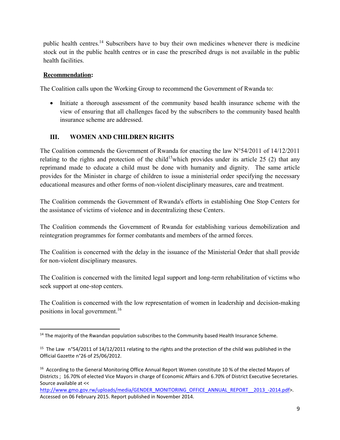public health centres.<sup>14</sup> Subscribers have to buy their own medicines whenever there is medicine stock out in the public health centres or in case the prescribed drugs is not available in the public health facilities.

## **Recommendation:**

The Coalition calls upon the Working Group to recommend the Government of Rwanda to:

• Initiate a thorough assessment of the community based health insurance scheme with the view of ensuring that all challenges faced by the subscribers to the community based health insurance scheme are addressed.

# **III. WOMEN AND CHILDREN RIGHTS**

The Coalition commends the Government of Rwanda for enacting the law N°54/2011 of 14/12/2011 relating to the rights and protection of the child<sup>15</sup>which provides under its article 25 (2) that any reprimand made to educate a child must be done with humanity and dignity. The same article provides for the Minister in charge of children to issue a ministerial order specifying the necessary educational measures and other forms of non-violent disciplinary measures, care and treatment.

The Coalition commends the Government of Rwanda's efforts in establishing One Stop Centers for the assistance of victims of violence and in decentralizing these Centers.

The Coalition commends the Government of Rwanda for establishing various demobilization and reintegration programmes for former combatants and members of the armed forces.

The Coalition is concerned with the delay in the issuance of the Ministerial Order that shall provide for non-violent disciplinary measures.

The Coalition is concerned with the limited legal support and long-term rehabilitation of victims who seek support at one-stop centers.

The Coalition is concerned with the low representation of women in leadership and decision-making positions in local government. 16

<sup>&</sup>lt;sup>14</sup> The majority of the Rwandan population subscribes to the Community based Health Insurance Scheme.

<sup>&</sup>lt;sup>15</sup> The Law n°54/2011 of 14/12/2011 relating to the rights and the protection of the child was published in the Official Gazette n°26 of 25/06/2012.

<sup>&</sup>lt;sup>16</sup> According to the General Monitoring Office Annual Report Women constitute 10 % of the elected Mayors of Districts ; 16.70% of elected Vice Mayors in charge of Economic Affairs and 6.70% of District Executive Secretaries. Source available at <<

http://www.gmo.gov.rw/uploads/media/GENDER\_MONITORING\_OFFICE\_ANNUAL\_REPORT\_\_2013\_-2014.pdf>. Accessed on 06 February 2015. Report published in November 2014.